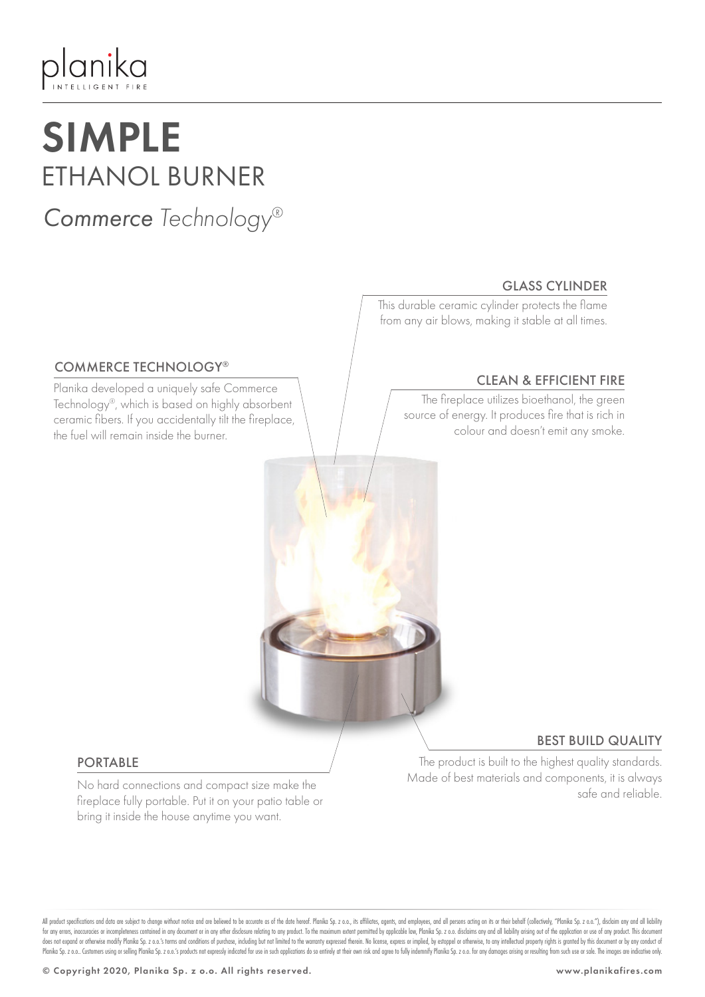# planika

## SIMPLE ETHANOL BURNER

### *Commerce Technology®*

GLASS CYLINDER

This durable ceramic cylinder protects the flame from any air blows, making it stable at all times.

### COMMERCE TECHNOLOGY®

Planika developed a uniquely safe Commerce Technology®, which is based on highly absorbent ceramic fibers. If you accidentally tilt the fireplace, the fuel will remain inside the burner.

### CLEAN & EFFICIENT FIRE

The fireplace utilizes bioethanol, the green source of energy. It produces fire that is rich in colour and doesn't emit any smoke.

#### PORTABLE

No hard connections and compact size make the fireplace fully portable. Put it on your patio table or bring it inside the house anytime you want.

### BEST BUILD QUALITY

The product is built to the highest quality standards. Made of best materials and components, it is always safe and reliable.

All product specifications and data are subject to change without notice and are believed to be accurate as of the date hereof. Planika Sp. z o.o., its affiliates, agents, and employees, and all persons acting on its or th for any errors, inaccuracies or incompleteness contained in any document or in any other disclosure relating to any product. To the maximum extent permitted by applicable law, Planika Sp. z o.o. disclaims any and all liabi does not expand or otherwise modify Planika Sp. z o.o.'s terms and conditions of purchase, including but not limited to the warranty expressed therein. No license, express or implied, by estoppel or otherwise, to any intel Planika Sp. z o.o. Customers using or selling Planika Sp. z o.o.'s products not expressly indicated for use in such applications do so entirely at their own risk and agree to fully indemnify Planika Sp. z o.o. for any dama